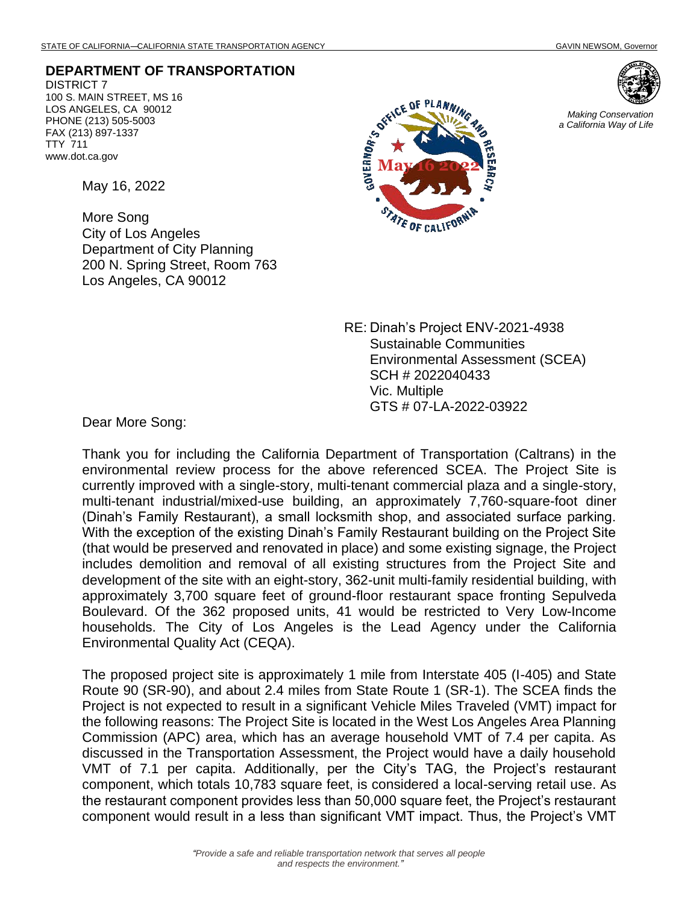*Making Conservation a California Way of Life*

**DEPARTMENT OF TRANSPORTATION**

DISTRICT 7 100 S. MAIN STREET, MS 16 LOS ANGELES, CA 90012 PHONE (213) 505-5003 FAX (213) 897-1337 TTY 711 www.dot.ca.gov

May 16, 2022

More Song City of Los Angeles Department of City Planning 200 N. Spring Street, Room 763 Los Angeles, CA 90012



RE: Dinah's Project ENV-2021-4938 Sustainable Communities Environmental Assessment (SCEA) SCH # 2022040433 Vic. Multiple GTS # 07-LA-2022-03922

Dear More Song:

Thank you for including the California Department of Transportation (Caltrans) in the environmental review process for the above referenced SCEA. The Project Site is currently improved with a single-story, multi-tenant commercial plaza and a single-story, multi-tenant industrial/mixed-use building, an approximately 7,760-square-foot diner (Dinah's Family Restaurant), a small locksmith shop, and associated surface parking. With the exception of the existing Dinah's Family Restaurant building on the Project Site (that would be preserved and renovated in place) and some existing signage, the Project includes demolition and removal of all existing structures from the Project Site and development of the site with an eight-story, 362-unit multi-family residential building, with approximately 3,700 square feet of ground-floor restaurant space fronting Sepulveda Boulevard. Of the 362 proposed units, 41 would be restricted to Very Low-Income households. The City of Los Angeles is the Lead Agency under the California Environmental Quality Act (CEQA).

The proposed project site is approximately 1 mile from Interstate 405 (I-405) and State Route 90 (SR-90), and about 2.4 miles from State Route 1 (SR-1). The SCEA finds the Project is not expected to result in a significant Vehicle Miles Traveled (VMT) impact for the following reasons: The Project Site is located in the West Los Angeles Area Planning Commission (APC) area, which has an average household VMT of 7.4 per capita. As discussed in the Transportation Assessment, the Project would have a daily household VMT of 7.1 per capita. Additionally, per the City's TAG, the Project's restaurant component, which totals 10,783 square feet, is considered a local-serving retail use. As the restaurant component provides less than 50,000 square feet, the Project's restaurant component would result in a less than significant VMT impact. Thus, the Project's VMT